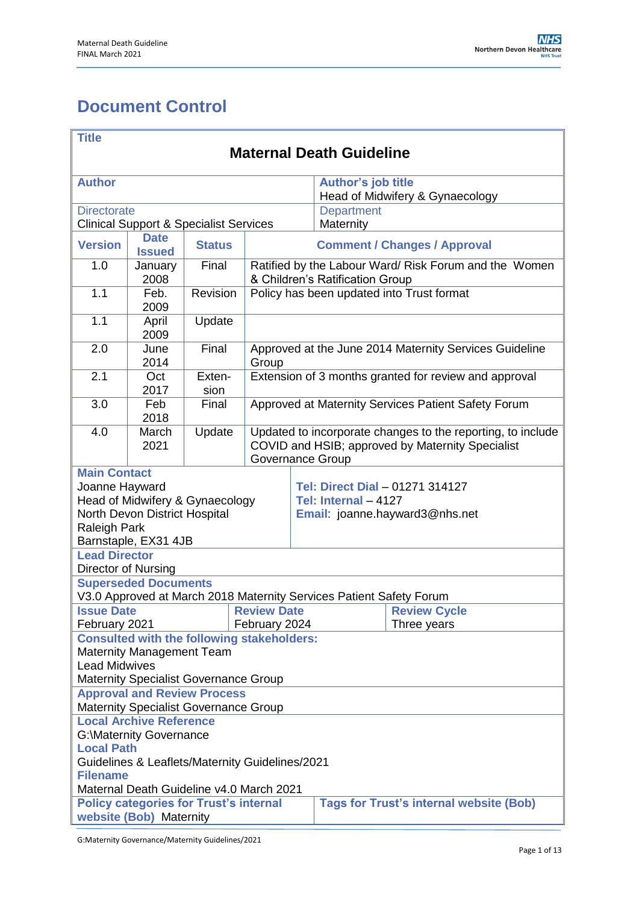# <span id="page-0-0"></span>**Document Control**

| <b>Title</b>                                                                                                               |                                                   |                |                                                                                                                                     |                                                                                           |                                                                     |                                 |  |
|----------------------------------------------------------------------------------------------------------------------------|---------------------------------------------------|----------------|-------------------------------------------------------------------------------------------------------------------------------------|-------------------------------------------------------------------------------------------|---------------------------------------------------------------------|---------------------------------|--|
| <b>Maternal Death Guideline</b>                                                                                            |                                                   |                |                                                                                                                                     |                                                                                           |                                                                     |                                 |  |
| <b>Author</b>                                                                                                              |                                                   |                |                                                                                                                                     |                                                                                           | Author's job title                                                  |                                 |  |
|                                                                                                                            |                                                   |                |                                                                                                                                     |                                                                                           |                                                                     | Head of Midwifery & Gynaecology |  |
| <b>Directorate</b>                                                                                                         |                                                   |                |                                                                                                                                     |                                                                                           | <b>Department</b>                                                   |                                 |  |
|                                                                                                                            | <b>Clinical Support &amp; Specialist Services</b> |                |                                                                                                                                     |                                                                                           | Maternity                                                           |                                 |  |
| <b>Version</b>                                                                                                             | <b>Date</b><br><b>Issued</b>                      | <b>Status</b>  | <b>Comment / Changes / Approval</b>                                                                                                 |                                                                                           |                                                                     |                                 |  |
| 1.0                                                                                                                        | January<br>2008                                   | Final          | Ratified by the Labour Ward/ Risk Forum and the Women<br>& Children's Ratification Group                                            |                                                                                           |                                                                     |                                 |  |
| 1.1                                                                                                                        | Feb.<br>2009                                      | Revision       |                                                                                                                                     | Policy has been updated into Trust format                                                 |                                                                     |                                 |  |
| 1.1                                                                                                                        | April<br>2009                                     | Update         |                                                                                                                                     |                                                                                           |                                                                     |                                 |  |
| 2.0                                                                                                                        | June<br>2014                                      | Final          | Group                                                                                                                               | Approved at the June 2014 Maternity Services Guideline                                    |                                                                     |                                 |  |
| 2.1                                                                                                                        | Oct<br>2017                                       | Exten-<br>sion |                                                                                                                                     | Extension of 3 months granted for review and approval                                     |                                                                     |                                 |  |
| 3.0                                                                                                                        | Feb<br>2018                                       | Final          |                                                                                                                                     | Approved at Maternity Services Patient Safety Forum                                       |                                                                     |                                 |  |
| 4.0                                                                                                                        | March<br>2021                                     | Update         | Updated to incorporate changes to the reporting, to include<br>COVID and HSIB; approved by Maternity Specialist<br>Governance Group |                                                                                           |                                                                     |                                 |  |
| <b>Main Contact</b>                                                                                                        |                                                   |                |                                                                                                                                     |                                                                                           |                                                                     |                                 |  |
| Joanne Hayward<br>Head of Midwifery & Gynaecology<br>North Devon District Hospital<br>Raleigh Park<br>Barnstaple, EX31 4JB |                                                   |                |                                                                                                                                     | Tel: Direct Dial - 01271 314127<br>Tel: Internal - 4127<br>Email: joanne.hayward3@nhs.net |                                                                     |                                 |  |
| <b>Lead Director</b><br>Director of Nursing                                                                                |                                                   |                |                                                                                                                                     |                                                                                           |                                                                     |                                 |  |
|                                                                                                                            | <b>Superseded Documents</b>                       |                |                                                                                                                                     |                                                                                           |                                                                     |                                 |  |
|                                                                                                                            |                                                   |                |                                                                                                                                     |                                                                                           | V3.0 Approved at March 2018 Maternity Services Patient Safety Forum |                                 |  |
| <b>Issue Date</b><br>February 2021                                                                                         |                                                   |                | <b>Review Date</b><br>February 2024                                                                                                 |                                                                                           | <b>Review Cycle</b><br>Three years                                  |                                 |  |
|                                                                                                                            | <b>Consulted with the following stakeholders:</b> |                |                                                                                                                                     |                                                                                           |                                                                     |                                 |  |
|                                                                                                                            | <b>Maternity Management Team</b>                  |                |                                                                                                                                     |                                                                                           |                                                                     |                                 |  |
| <b>Lead Midwives</b>                                                                                                       |                                                   |                |                                                                                                                                     |                                                                                           |                                                                     |                                 |  |
| Maternity Specialist Governance Group                                                                                      |                                                   |                |                                                                                                                                     |                                                                                           |                                                                     |                                 |  |
|                                                                                                                            | <b>Approval and Review Process</b>                |                |                                                                                                                                     |                                                                                           |                                                                     |                                 |  |
| <b>Maternity Specialist Governance Group</b><br><b>Local Archive Reference</b>                                             |                                                   |                |                                                                                                                                     |                                                                                           |                                                                     |                                 |  |
|                                                                                                                            |                                                   |                |                                                                                                                                     |                                                                                           |                                                                     |                                 |  |
| <b>G:</b> \Maternity Governance<br><b>Local Path</b>                                                                       |                                                   |                |                                                                                                                                     |                                                                                           |                                                                     |                                 |  |
| Guidelines & Leaflets/Maternity Guidelines/2021                                                                            |                                                   |                |                                                                                                                                     |                                                                                           |                                                                     |                                 |  |
| <b>Filename</b>                                                                                                            |                                                   |                |                                                                                                                                     |                                                                                           |                                                                     |                                 |  |
| Maternal Death Guideline v4.0 March 2021                                                                                   |                                                   |                |                                                                                                                                     |                                                                                           |                                                                     |                                 |  |
| <b>Tags for Trust's internal website (Bob)</b><br><b>Policy categories for Trust's internal</b><br>website (Bob) Maternity |                                                   |                |                                                                                                                                     |                                                                                           |                                                                     |                                 |  |
|                                                                                                                            |                                                   |                |                                                                                                                                     |                                                                                           |                                                                     |                                 |  |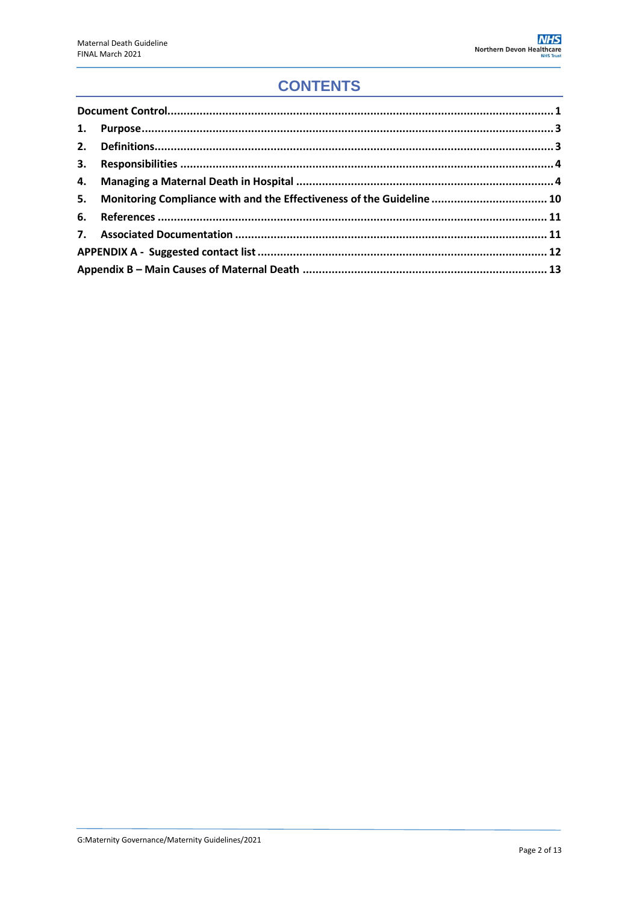## **CONTENTS**

|  | 5. Monitoring Compliance with and the Effectiveness of the Guideline  10 |  |  |
|--|--------------------------------------------------------------------------|--|--|
|  |                                                                          |  |  |
|  |                                                                          |  |  |
|  |                                                                          |  |  |
|  |                                                                          |  |  |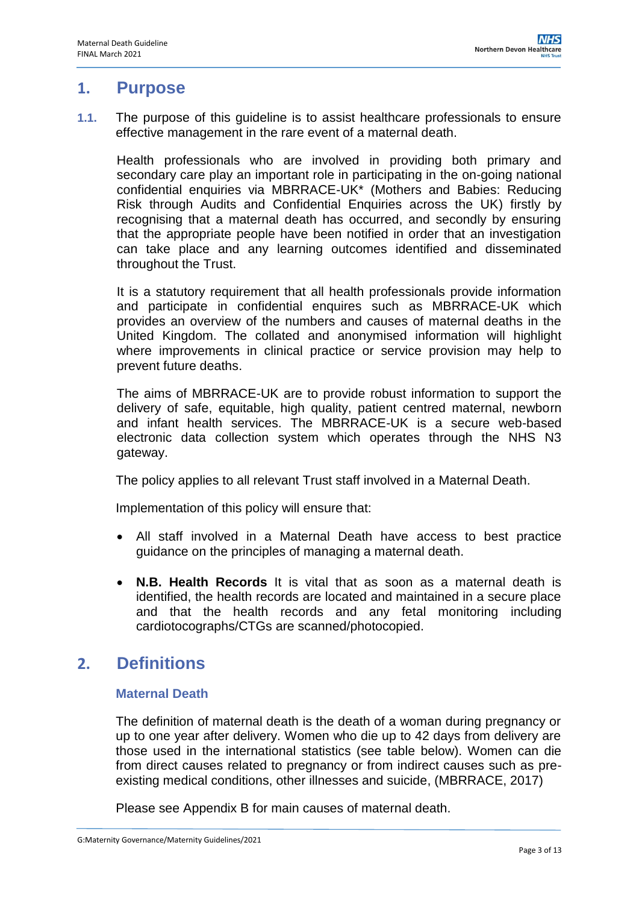### <span id="page-2-0"></span>**1. Purpose**

**1.1.** The purpose of this guideline is to assist healthcare professionals to ensure effective management in the rare event of a maternal death.

Health professionals who are involved in providing both primary and secondary care play an important role in participating in the on-going national confidential enquiries via MBRRACE-UK\* (Mothers and Babies: Reducing Risk through Audits and Confidential Enquiries across the UK) firstly by recognising that a maternal death has occurred, and secondly by ensuring that the appropriate people have been notified in order that an investigation can take place and any learning outcomes identified and disseminated throughout the Trust.

It is a statutory requirement that all health professionals provide information and participate in confidential enquires such as MBRRACE-UK which provides an overview of the numbers and causes of maternal deaths in the United Kingdom. The collated and anonymised information will highlight where improvements in clinical practice or service provision may help to prevent future deaths.

The aims of MBRRACE-UK are to provide robust information to support the delivery of safe, equitable, high quality, patient centred maternal, newborn and infant health services. The MBRRACE-UK is a secure web-based electronic data collection system which operates through the NHS N3 gateway.

The policy applies to all relevant Trust staff involved in a Maternal Death.

Implementation of this policy will ensure that:

- All staff involved in a Maternal Death have access to best practice guidance on the principles of managing a maternal death.
- **N.B. Health Records** It is vital that as soon as a maternal death is identified, the health records are located and maintained in a secure place and that the health records and any fetal monitoring including cardiotocographs/CTGs are scanned/photocopied.

## <span id="page-2-1"></span>**2. Definitions**

### **Maternal Death**

The definition of maternal death is the death of a woman during pregnancy or up to one year after delivery. Women who die up to 42 days from delivery are those used in the international statistics (see table below). Women can die from direct causes related to pregnancy or from indirect causes such as preexisting medical conditions, other illnesses and suicide, (MBRRACE, 2017)

Please see Appendix B for main causes of maternal death.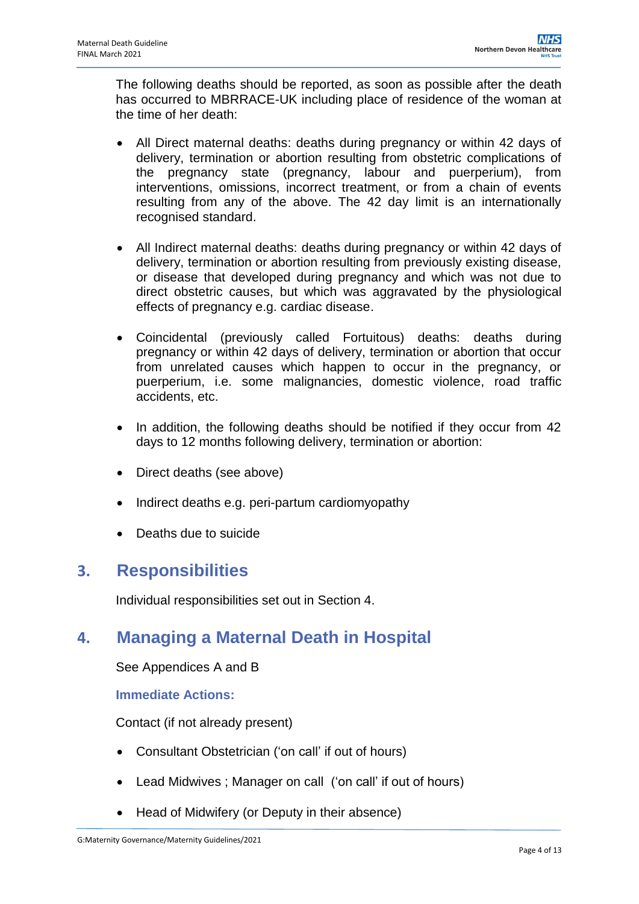The following deaths should be reported, as soon as possible after the death has occurred to MBRRACE-UK including place of residence of the woman at the time of her death:

- All Direct maternal deaths: deaths during pregnancy or within 42 days of delivery, termination or abortion resulting from obstetric complications of the pregnancy state (pregnancy, labour and puerperium), from interventions, omissions, incorrect treatment, or from a chain of events resulting from any of the above. The 42 day limit is an internationally recognised standard.
- All Indirect maternal deaths: deaths during pregnancy or within 42 days of delivery, termination or abortion resulting from previously existing disease, or disease that developed during pregnancy and which was not due to direct obstetric causes, but which was aggravated by the physiological effects of pregnancy e.g. cardiac disease.
- Coincidental (previously called Fortuitous) deaths: deaths during pregnancy or within 42 days of delivery, termination or abortion that occur from unrelated causes which happen to occur in the pregnancy, or puerperium, i.e. some malignancies, domestic violence, road traffic accidents, etc.
- In addition, the following deaths should be notified if they occur from 42 days to 12 months following delivery, termination or abortion:
- Direct deaths (see above)
- Indirect deaths e.g. peri-partum cardiomyopathy
- Deaths due to suicide

## <span id="page-3-0"></span>**3. Responsibilities**

Individual responsibilities set out in Section 4.

## <span id="page-3-1"></span>**4. Managing a Maternal Death in Hospital**

See Appendices A and B

### **Immediate Actions:**

Contact (if not already present)

- Consultant Obstetrician ('on call' if out of hours)
- Lead Midwives ; Manager on call ('on call' if out of hours)
- Head of Midwifery (or Deputy in their absence)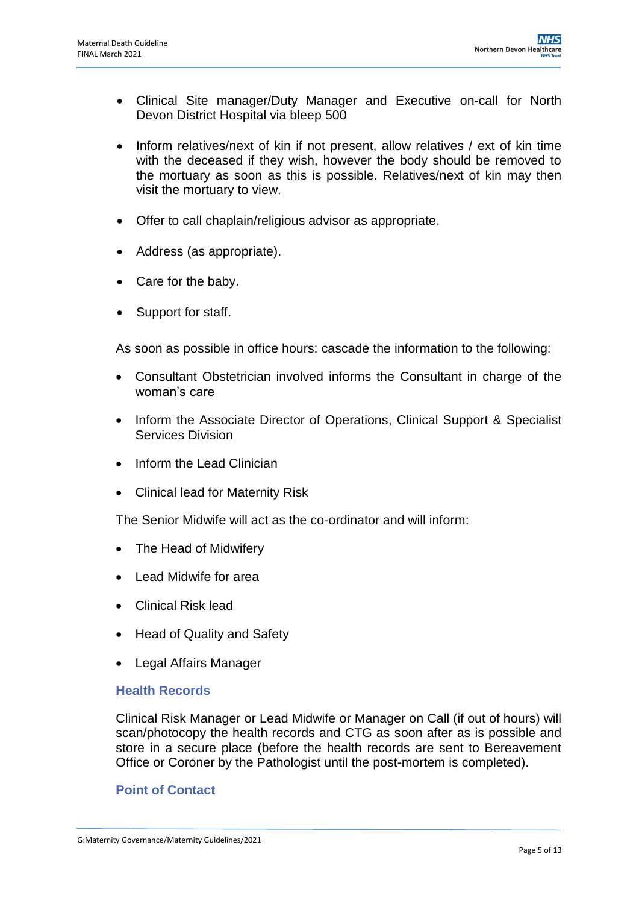- Clinical Site manager/Duty Manager and Executive on-call for North Devon District Hospital via bleep 500
- Inform relatives/next of kin if not present, allow relatives / ext of kin time with the deceased if they wish, however the body should be removed to the mortuary as soon as this is possible. Relatives/next of kin may then visit the mortuary to view.
- Offer to call chaplain/religious advisor as appropriate.
- Address (as appropriate).
- Care for the baby.
- Support for staff.

As soon as possible in office hours: cascade the information to the following:

- Consultant Obstetrician involved informs the Consultant in charge of the woman's care
- Inform the Associate Director of Operations, Clinical Support & Specialist Services Division
- Inform the Lead Clinician
- Clinical lead for Maternity Risk

The Senior Midwife will act as the co-ordinator and will inform:

- The Head of Midwifery
- Lead Midwife for area
- Clinical Risk lead
- Head of Quality and Safety
- Legal Affairs Manager

#### **Health Records**

Clinical Risk Manager or Lead Midwife or Manager on Call (if out of hours) will scan/photocopy the health records and CTG as soon after as is possible and store in a secure place (before the health records are sent to Bereavement Office or Coroner by the Pathologist until the post-mortem is completed).

#### **Point of Contact**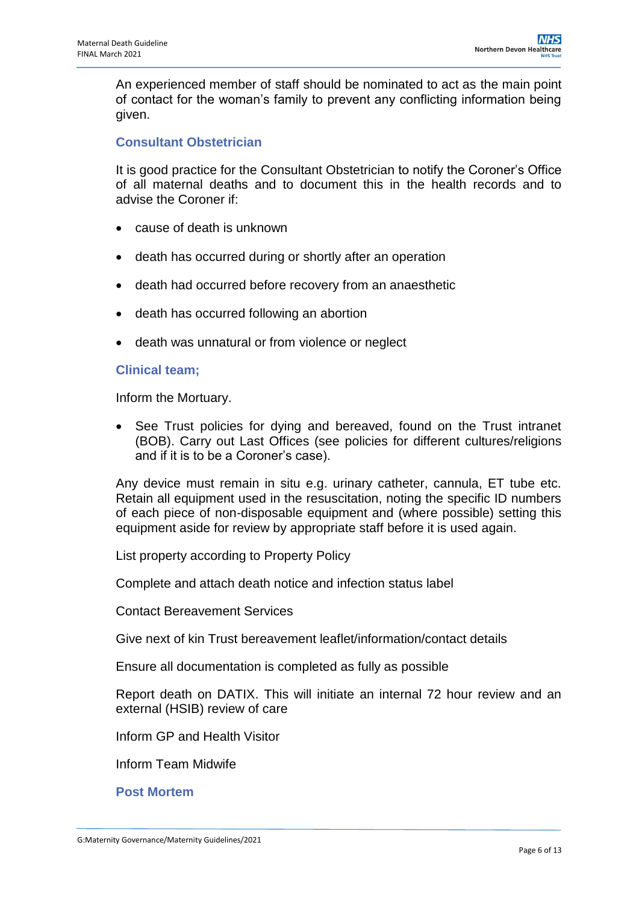An experienced member of staff should be nominated to act as the main point of contact for the woman's family to prevent any conflicting information being given.

### **Consultant Obstetrician**

It is good practice for the Consultant Obstetrician to notify the Coroner's Office of all maternal deaths and to document this in the health records and to advise the Coroner if:

- cause of death is unknown
- death has occurred during or shortly after an operation
- death had occurred before recovery from an anaesthetic
- death has occurred following an abortion
- death was unnatural or from violence or neglect

#### **Clinical team;**

Inform the Mortuary.

 See Trust policies for dying and bereaved, found on the Trust intranet (BOB). Carry out Last Offices (see policies for different cultures/religions and if it is to be a Coroner's case).

Any device must remain in situ e.g. urinary catheter, cannula, ET tube etc. Retain all equipment used in the resuscitation, noting the specific ID numbers of each piece of non-disposable equipment and (where possible) setting this equipment aside for review by appropriate staff before it is used again.

List property according to Property Policy

Complete and attach death notice and infection status label

Contact Bereavement Services

Give next of kin Trust bereavement leaflet/information/contact details

Ensure all documentation is completed as fully as possible

Report death on DATIX. This will initiate an internal 72 hour review and an external (HSIB) review of care

Inform GP and Health Visitor

Inform Team Midwife

**Post Mortem**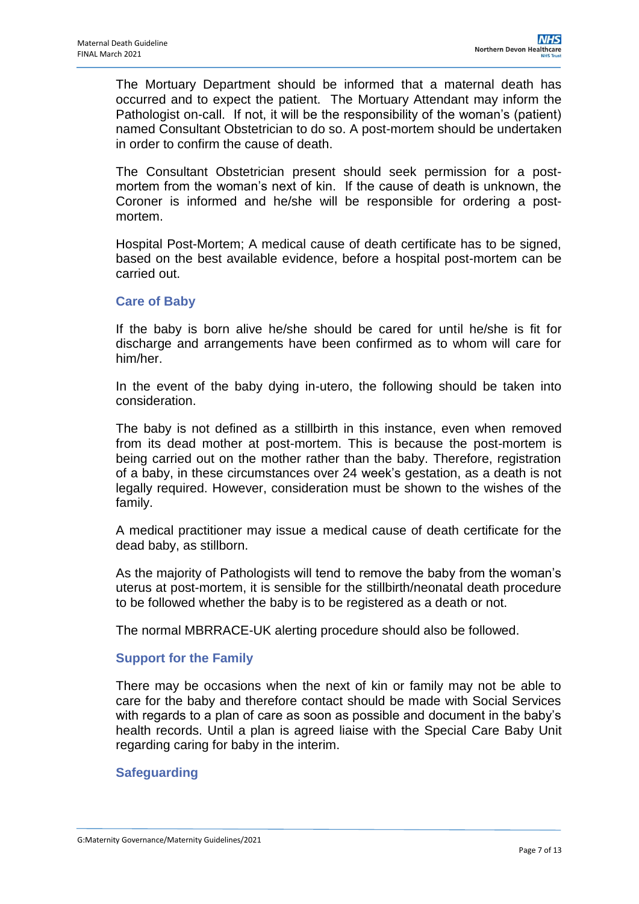The Mortuary Department should be informed that a maternal death has occurred and to expect the patient. The Mortuary Attendant may inform the Pathologist on-call. If not, it will be the responsibility of the woman's (patient) named Consultant Obstetrician to do so. A post-mortem should be undertaken in order to confirm the cause of death.

The Consultant Obstetrician present should seek permission for a postmortem from the woman's next of kin. If the cause of death is unknown, the Coroner is informed and he/she will be responsible for ordering a postmortem.

Hospital Post-Mortem; A medical cause of death certificate has to be signed, based on the best available evidence, before a hospital post-mortem can be carried out.

#### **Care of Baby**

If the baby is born alive he/she should be cared for until he/she is fit for discharge and arrangements have been confirmed as to whom will care for him/her.

In the event of the baby dying in-utero, the following should be taken into consideration.

The baby is not defined as a stillbirth in this instance, even when removed from its dead mother at post-mortem. This is because the post-mortem is being carried out on the mother rather than the baby. Therefore, registration of a baby, in these circumstances over 24 week's gestation, as a death is not legally required. However, consideration must be shown to the wishes of the family.

A medical practitioner may issue a medical cause of death certificate for the dead baby, as stillborn.

As the majority of Pathologists will tend to remove the baby from the woman's uterus at post-mortem, it is sensible for the stillbirth/neonatal death procedure to be followed whether the baby is to be registered as a death or not.

The normal MBRRACE-UK alerting procedure should also be followed.

### **Support for the Family**

There may be occasions when the next of kin or family may not be able to care for the baby and therefore contact should be made with Social Services with regards to a plan of care as soon as possible and document in the baby's health records. Until a plan is agreed liaise with the Special Care Baby Unit regarding caring for baby in the interim.

### **Safeguarding**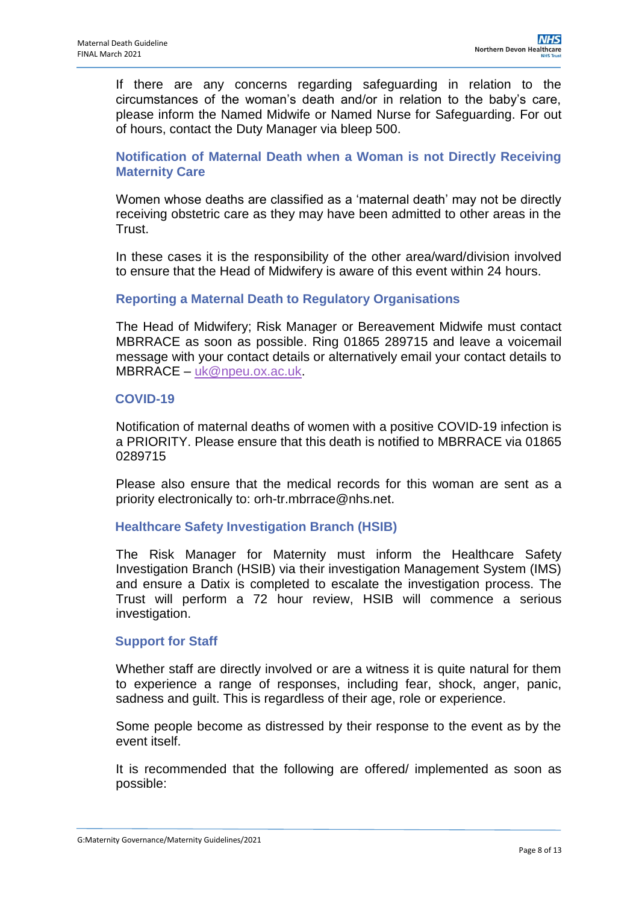If there are any concerns regarding safeguarding in relation to the circumstances of the woman's death and/or in relation to the baby's care, please inform the Named Midwife or Named Nurse for Safeguarding. For out of hours, contact the Duty Manager via bleep 500.

**Notification of Maternal Death when a Woman is not Directly Receiving Maternity Care**

Women whose deaths are classified as a 'maternal death' may not be directly receiving obstetric care as they may have been admitted to other areas in the Trust.

In these cases it is the responsibility of the other area/ward/division involved to ensure that the Head of Midwifery is aware of this event within 24 hours.

#### **Reporting a Maternal Death to Regulatory Organisations**

The Head of Midwifery; Risk Manager or Bereavement Midwife must contact MBRRACE as soon as possible. Ring 01865 289715 and leave a voicemail message with your contact details or alternatively email your contact details to MBRRACE – [uk@npeu.ox.ac.uk.](mailto:uk@npeu.ox.ac.uk)

#### **COVID-19**

Notification of maternal deaths of women with a positive COVID-19 infection is a PRIORITY. Please ensure that this death is notified to MBRRACE via 01865 0289715

Please also ensure that the medical records for this woman are sent as a priority electronically to: orh-tr.mbrrace@nhs.net.

#### **Healthcare Safety Investigation Branch (HSIB)**

The Risk Manager for Maternity must inform the Healthcare Safety Investigation Branch (HSIB) via their investigation Management System (IMS) and ensure a Datix is completed to escalate the investigation process. The Trust will perform a 72 hour review, HSIB will commence a serious investigation.

#### **Support for Staff**

Whether staff are directly involved or are a witness it is quite natural for them to experience a range of responses, including fear, shock, anger, panic, sadness and guilt. This is regardless of their age, role or experience.

Some people become as distressed by their response to the event as by the event itself.

It is recommended that the following are offered/ implemented as soon as possible: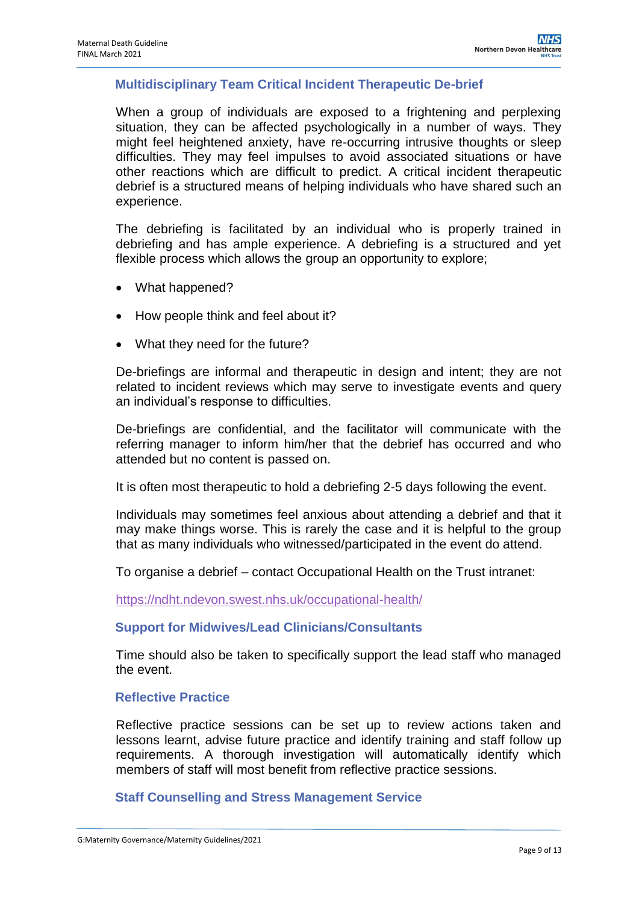### **Multidisciplinary Team Critical Incident Therapeutic De-brief**

When a group of individuals are exposed to a frightening and perplexing situation, they can be affected psychologically in a number of ways. They might feel heightened anxiety, have re-occurring intrusive thoughts or sleep difficulties. They may feel impulses to avoid associated situations or have other reactions which are difficult to predict. A critical incident therapeutic debrief is a structured means of helping individuals who have shared such an experience.

The debriefing is facilitated by an individual who is properly trained in debriefing and has ample experience. A debriefing is a structured and yet flexible process which allows the group an opportunity to explore;

- What happened?
- How people think and feel about it?
- What they need for the future?

De-briefings are informal and therapeutic in design and intent; they are not related to incident reviews which may serve to investigate events and query an individual's response to difficulties.

De-briefings are confidential, and the facilitator will communicate with the referring manager to inform him/her that the debrief has occurred and who attended but no content is passed on.

It is often most therapeutic to hold a debriefing 2-5 days following the event.

Individuals may sometimes feel anxious about attending a debrief and that it may make things worse. This is rarely the case and it is helpful to the group that as many individuals who witnessed/participated in the event do attend.

To organise a debrief – contact Occupational Health on the Trust intranet:

<https://ndht.ndevon.swest.nhs.uk/occupational-health/>

#### **Support for Midwives/Lead Clinicians/Consultants**

Time should also be taken to specifically support the lead staff who managed the event.

#### **Reflective Practice**

Reflective practice sessions can be set up to review actions taken and lessons learnt, advise future practice and identify training and staff follow up requirements. A thorough investigation will automatically identify which members of staff will most benefit from reflective practice sessions.

#### **Staff Counselling and Stress Management Service**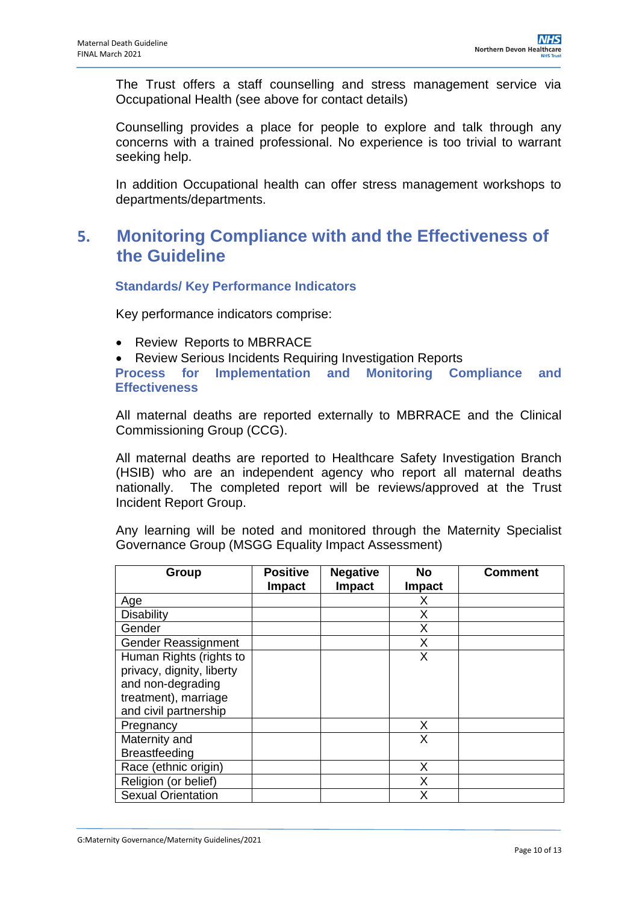The Trust offers a staff counselling and stress management service via Occupational Health (see above for contact details)

Counselling provides a place for people to explore and talk through any concerns with a trained professional. No experience is too trivial to warrant seeking help.

In addition Occupational health can offer stress management workshops to departments/departments.

## <span id="page-9-0"></span>**5. Monitoring Compliance with and the Effectiveness of the Guideline**

**Standards/ Key Performance Indicators**

Key performance indicators comprise:

- Review Reports to MBRRACE
- Review Serious Incidents Requiring Investigation Reports

**Process for Implementation and Monitoring Compliance and Effectiveness**

All maternal deaths are reported externally to MBRRACE and the Clinical Commissioning Group (CCG).

All maternal deaths are reported to Healthcare Safety Investigation Branch (HSIB) who are an independent agency who report all maternal deaths nationally. The completed report will be reviews/approved at the Trust Incident Report Group.

Any learning will be noted and monitored through the Maternity Specialist Governance Group (MSGG Equality Impact Assessment)

| Group                     | <b>Positive</b><br><b>Impact</b> | <b>Negative</b><br>Impact | <b>No</b><br><b>Impact</b> | <b>Comment</b> |
|---------------------------|----------------------------------|---------------------------|----------------------------|----------------|
| Age                       |                                  |                           | х                          |                |
| <b>Disability</b>         |                                  |                           | Χ                          |                |
| Gender                    |                                  |                           | X                          |                |
| Gender Reassignment       |                                  |                           | X                          |                |
| Human Rights (rights to   |                                  |                           | X                          |                |
| privacy, dignity, liberty |                                  |                           |                            |                |
| and non-degrading         |                                  |                           |                            |                |
| treatment), marriage      |                                  |                           |                            |                |
| and civil partnership     |                                  |                           |                            |                |
| Pregnancy                 |                                  |                           | X                          |                |
| Maternity and             |                                  |                           | X                          |                |
| <b>Breastfeeding</b>      |                                  |                           |                            |                |
| Race (ethnic origin)      |                                  |                           | X                          |                |
| Religion (or belief)      |                                  |                           | X                          |                |
| <b>Sexual Orientation</b> |                                  |                           | x                          |                |

G:Maternity Governance/Maternity Guidelines/2021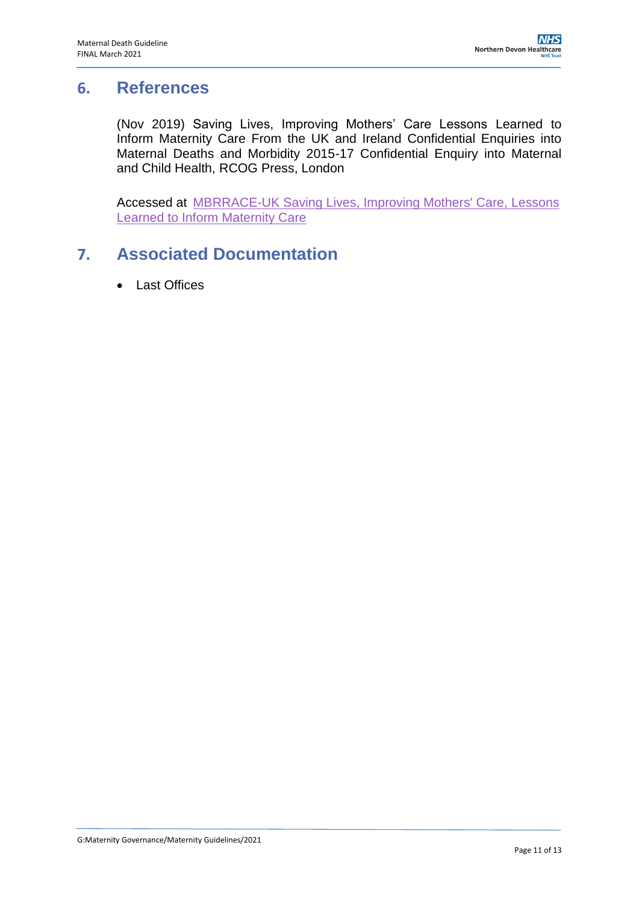### <span id="page-10-0"></span>**6. References**

(Nov 2019) Saving Lives, Improving Mothers' Care Lessons Learned to Inform Maternity Care From the UK and Ireland Confidential Enquiries into Maternal Deaths and Morbidity 2015-17 Confidential Enquiry into Maternal and Child Health, RCOG Press, London

Accessed at MBRRACE-UK [Saving Lives, Improving Mothers' Care, Lessons](https://www.npeu.ox.ac.uk/assets/downloads/mbrrace-uk/reports/MBRRACE-UK%20Maternal%20Report%202019%20-%20WEB%20VERSION.pdf)  [Learned to Inform Maternity Care](https://www.npeu.ox.ac.uk/assets/downloads/mbrrace-uk/reports/MBRRACE-UK%20Maternal%20Report%202019%20-%20WEB%20VERSION.pdf)

## <span id="page-10-1"></span>**7. Associated Documentation**

Last Offices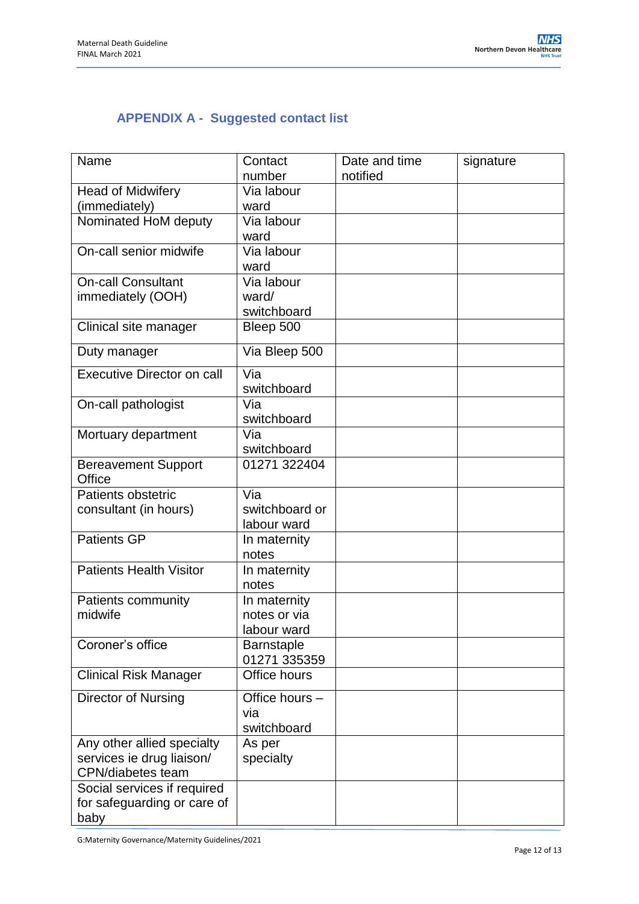## <span id="page-11-0"></span>**APPENDIX A - Suggested contact list**

| Name                              | Contact           | Date and time | signature |
|-----------------------------------|-------------------|---------------|-----------|
|                                   | number            | notified      |           |
| <b>Head of Midwifery</b>          | Via labour        |               |           |
| (immediately)                     | ward              |               |           |
| Nominated HoM deputy              | Via labour        |               |           |
|                                   | ward              |               |           |
| On-call senior midwife            | Via labour        |               |           |
|                                   | ward              |               |           |
| <b>On-call Consultant</b>         | Via labour        |               |           |
| immediately (OOH)                 | ward/             |               |           |
|                                   | switchboard       |               |           |
| Clinical site manager             | Bleep 500         |               |           |
| Duty manager                      | Via Bleep 500     |               |           |
| <b>Executive Director on call</b> | Via               |               |           |
|                                   | switchboard       |               |           |
| On-call pathologist               | Via               |               |           |
|                                   | switchboard       |               |           |
| Mortuary department               | Via               |               |           |
|                                   | switchboard       |               |           |
| <b>Bereavement Support</b>        | 01271 322404      |               |           |
| Office                            |                   |               |           |
| Patients obstetric                | Via               |               |           |
| consultant (in hours)             | switchboard or    |               |           |
|                                   | labour ward       |               |           |
| <b>Patients GP</b>                | In maternity      |               |           |
|                                   | notes             |               |           |
| <b>Patients Health Visitor</b>    | In maternity      |               |           |
|                                   | notes             |               |           |
| Patients community                | In maternity      |               |           |
| midwife                           | notes or via      |               |           |
|                                   | labour ward       |               |           |
| Coroner's office                  | <b>Barnstaple</b> |               |           |
|                                   | 01271 335359      |               |           |
| <b>Clinical Risk Manager</b>      | Office hours      |               |           |
| <b>Director of Nursing</b>        | Office hours -    |               |           |
|                                   | via               |               |           |
|                                   | switchboard       |               |           |
| Any other allied specialty        | As per            |               |           |
| services ie drug liaison/         | specialty         |               |           |
| CPN/diabetes team                 |                   |               |           |
| Social services if required       |                   |               |           |
| for safeguarding or care of       |                   |               |           |
| baby                              |                   |               |           |

G:Maternity Governance/Maternity Guidelines/2021